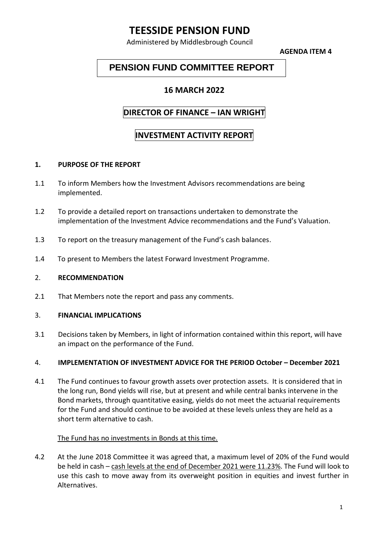# **TEESSIDE PENSION FUND**

Administered by Middlesbrough Council

**AGENDA ITEM 4**

# **PENSION FUND COMMITTEE REPORT**

## **16 MARCH 2022**

## **DIRECTOR OF FINANCE – IAN WRIGHT**

# **INVESTMENT ACTIVITY REPORT**

#### **1. PURPOSE OF THE REPORT**

- 1.1 To inform Members how the Investment Advisors recommendations are being implemented.
- 1.2 To provide a detailed report on transactions undertaken to demonstrate the implementation of the Investment Advice recommendations and the Fund's Valuation.
- 1.3 To report on the treasury management of the Fund's cash balances.
- 1.4 To present to Members the latest Forward Investment Programme.

#### 2. **RECOMMENDATION**

2.1 That Members note the report and pass any comments.

#### 3. **FINANCIAL IMPLICATIONS**

3.1 Decisions taken by Members, in light of information contained within this report, will have an impact on the performance of the Fund.

#### 4. **IMPLEMENTATION OF INVESTMENT ADVICE FOR THE PERIOD October – December 2021**

4.1 The Fund continues to favour growth assets over protection assets. It is considered that in the long run, Bond yields will rise, but at present and while central banks intervene in the Bond markets, through quantitative easing, yields do not meet the actuarial requirements for the Fund and should continue to be avoided at these levels unless they are held as a short term alternative to cash.

#### The Fund has no investments in Bonds at this time.

4.2 At the June 2018 Committee it was agreed that, a maximum level of 20% of the Fund would be held in cash – cash levels at the end of December 2021 were 11.23%. The Fund will look to use this cash to move away from its overweight position in equities and invest further in Alternatives.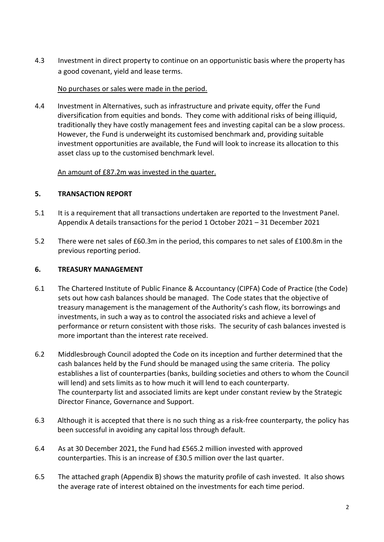4.3 Investment in direct property to continue on an opportunistic basis where the property has a good covenant, yield and lease terms.

#### No purchases or sales were made in the period.

4.4 Investment in Alternatives, such as infrastructure and private equity, offer the Fund diversification from equities and bonds. They come with additional risks of being illiquid, traditionally they have costly management fees and investing capital can be a slow process. However, the Fund is underweight its customised benchmark and, providing suitable investment opportunities are available, the Fund will look to increase its allocation to this asset class up to the customised benchmark level.

### An amount of £87.2m was invested in the quarter.

#### **5. TRANSACTION REPORT**

- 5.1 It is a requirement that all transactions undertaken are reported to the Investment Panel. Appendix A details transactions for the period 1 October 2021 – 31 December 2021
- 5.2 There were net sales of £60.3m in the period, this compares to net sales of £100.8m in the previous reporting period.

#### **6. TREASURY MANAGEMENT**

- 6.1 The Chartered Institute of Public Finance & Accountancy (CIPFA) Code of Practice (the Code) sets out how cash balances should be managed. The Code states that the objective of treasury management is the management of the Authority's cash flow, its borrowings and investments, in such a way as to control the associated risks and achieve a level of performance or return consistent with those risks. The security of cash balances invested is more important than the interest rate received.
- 6.2 Middlesbrough Council adopted the Code on its inception and further determined that the cash balances held by the Fund should be managed using the same criteria. The policy establishes a list of counterparties (banks, building societies and others to whom the Council will lend) and sets limits as to how much it will lend to each counterparty. The counterparty list and associated limits are kept under constant review by the Strategic Director Finance, Governance and Support.
- 6.3 Although it is accepted that there is no such thing as a risk-free counterparty, the policy has been successful in avoiding any capital loss through default.
- 6.4 As at 30 December 2021, the Fund had £565.2 million invested with approved counterparties. This is an increase of £30.5 million over the last quarter.
- 6.5 The attached graph (Appendix B) shows the maturity profile of cash invested. It also shows the average rate of interest obtained on the investments for each time period.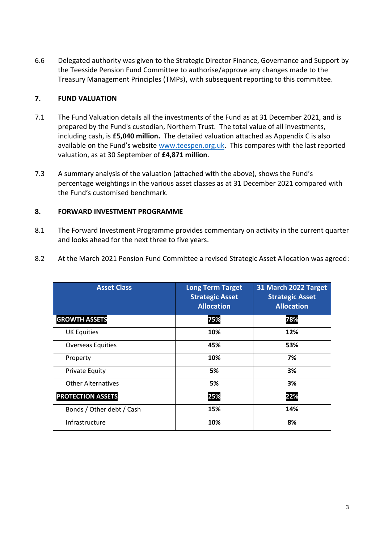6.6 Delegated authority was given to the Strategic Director Finance, Governance and Support by the Teesside Pension Fund Committee to authorise/approve any changes made to the Treasury Management Principles (TMPs), with subsequent reporting to this committee.

### **7. FUND VALUATION**

- 7.1 The Fund Valuation details all the investments of the Fund as at 31 December 2021, and is prepared by the Fund's custodian, Northern Trust. The total value of all investments, including cash, is **£5,040 million.** The detailed valuation attached as Appendix C is also available on the Fund's website [www.teespen.org.uk.](http://www.teespen.org.uk/) This compares with the last reported valuation, as at 30 September of **£4,871 million**.
- 7.3 A summary analysis of the valuation (attached with the above), shows the Fund's percentage weightings in the various asset classes as at 31 December 2021 compared with the Fund's customised benchmark.

## **8. FORWARD INVESTMENT PROGRAMME**

- 8.1 The Forward Investment Programme provides commentary on activity in the current quarter and looks ahead for the next three to five years.
- 8.2 At the March 2021 Pension Fund Committee a revised Strategic Asset Allocation was agreed:

| <b>Asset Class</b>        | <b>Long Term Target</b><br><b>Strategic Asset</b><br><b>Allocation</b> | 31 March 2022 Target<br><b>Strategic Asset</b><br><b>Allocation</b> |
|---------------------------|------------------------------------------------------------------------|---------------------------------------------------------------------|
| <b>GROWTH ASSETS</b>      | 75%                                                                    | 78%                                                                 |
| <b>UK Equities</b>        | 10%                                                                    | 12%                                                                 |
| <b>Overseas Equities</b>  | 45%                                                                    | 53%                                                                 |
| Property                  | 10%                                                                    | 7%                                                                  |
| <b>Private Equity</b>     | 5%                                                                     | 3%                                                                  |
| <b>Other Alternatives</b> | 5%                                                                     | 3%                                                                  |
| <b>PROTECTION ASSETS</b>  | 25%                                                                    | 22%                                                                 |
| Bonds / Other debt / Cash | 15%                                                                    | 14%                                                                 |
| Infrastructure            | 10%                                                                    | 8%                                                                  |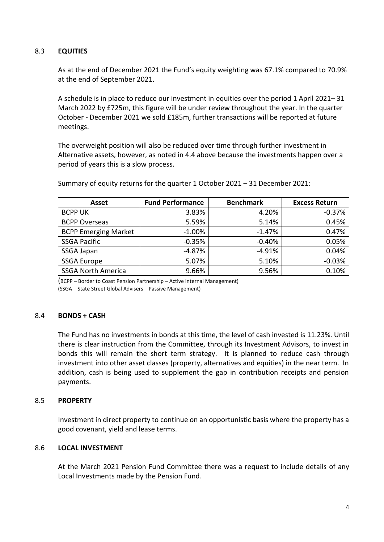### 8.3 **EQUITIES**

As at the end of December 2021 the Fund's equity weighting was 67.1% compared to 70.9% at the end of September 2021.

A schedule is in place to reduce our investment in equities over the period 1 April 2021– 31 March 2022 by £725m, this figure will be under review throughout the year. In the quarter October - December 2021 we sold £185m, further transactions will be reported at future meetings.

The overweight position will also be reduced over time through further investment in Alternative assets, however, as noted in 4.4 above because the investments happen over a period of years this is a slow process.

| <b>Asset</b>                | <b>Fund Performance</b> | <b>Benchmark</b> | <b>Excess Return</b> |
|-----------------------------|-------------------------|------------------|----------------------|
| <b>BCPP UK</b>              | 3.83%                   | 4.20%            | $-0.37%$             |
| <b>BCPP Overseas</b>        | 5.59%                   | 5.14%            | 0.45%                |
| <b>BCPP Emerging Market</b> | $-1.00%$                | $-1.47%$         | 0.47%                |
| <b>SSGA Pacific</b>         | $-0.35%$                | $-0.40%$         | 0.05%                |
| SSGA Japan                  | $-4.87%$                | $-4.91%$         | 0.04%                |
| <b>SSGA Europe</b>          | 5.07%                   | 5.10%            | $-0.03%$             |
| <b>SSGA North America</b>   | 9.66%                   | 9.56%            | 0.10%                |

Summary of equity returns for the quarter 1 October 2021 – 31 December 2021:

(BCPP – Border to Coast Pension Partnership – Active Internal Management) (SSGA – State Street Global Advisers – Passive Management)

### 8.4 **BONDS + CASH**

The Fund has no investments in bonds at this time, the level of cash invested is 11.23%. Until there is clear instruction from the Committee, through its Investment Advisors, to invest in bonds this will remain the short term strategy. It is planned to reduce cash through investment into other asset classes (property, alternatives and equities) in the near term. In addition, cash is being used to supplement the gap in contribution receipts and pension payments.

#### 8.5 **PROPERTY**

Investment in direct property to continue on an opportunistic basis where the property has a good covenant, yield and lease terms.

#### 8.6 **LOCAL INVESTMENT**

At the March 2021 Pension Fund Committee there was a request to include details of any Local Investments made by the Pension Fund.